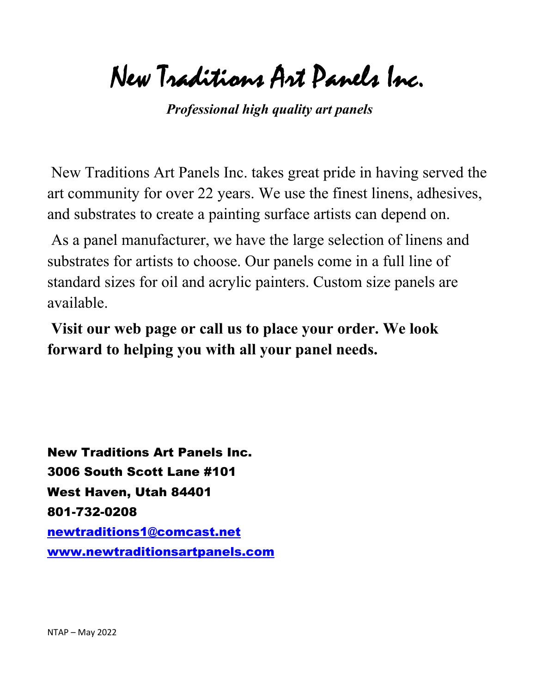New Traditions Art Panels Inc.

*Professional high quality art panels*

New Traditions Art Panels Inc. takes great pride in having served the art community for over 22 years. We use the finest linens, adhesives, and substrates to create a painting surface artists can depend on.

As a panel manufacturer, we have the large selection of linens and substrates for artists to choose. Our panels come in a full line of standard sizes for oil and acrylic painters. Custom size panels are available.

**Visit our web page or call us to place your order. We look forward to helping you with all your panel needs.**

New Traditions Art Panels Inc. 3006 South Scott Lane #101 West Haven, Utah 84401 801-732-0208 newtraditions1@comcast.net www.newtraditionsartpanels.com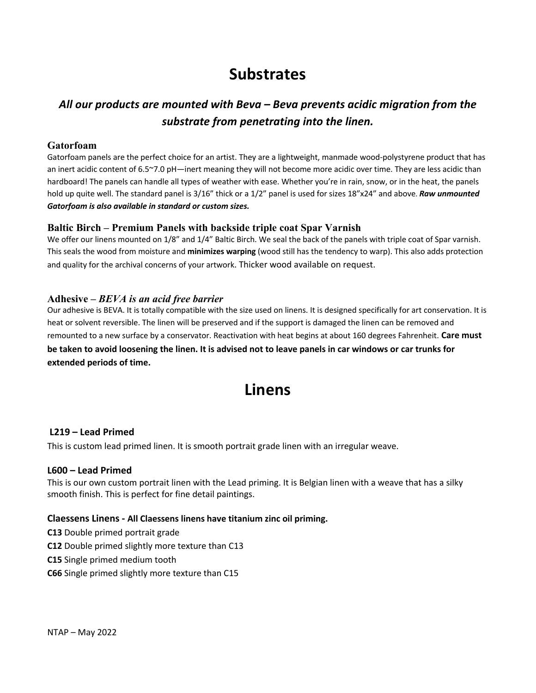# **Substrates**

### *All our products are mounted with Beva – Beva prevents acidic migration from the substrate from penetrating into the linen.*

#### **Gatorfoam**

Gatorfoam panels are the perfect choice for an artist. They are a lightweight, manmade wood-polystyrene product that has an inert acidic content of 6.5~7.0 pH—inert meaning they will not become more acidic over time. They are less acidic than hardboard! The panels can handle all types of weather with ease. Whether you're in rain, snow, or in the heat, the panels hold up quite well. The standard panel is 3/16" thick or a 1/2" panel is used for sizes 18"x24" and above. *Raw unmounted Gatorfoam is also available in standard or custom sizes.*

#### **Baltic Birch – Premium Panels with backside triple coat Spar Varnish**

We offer our linens mounted on 1/8" and 1/4" Baltic Birch. We seal the back of the panels with triple coat of Spar varnish. This seals the wood from moisture and **minimizes warping** (wood still has the tendency to warp). This also adds protection and quality for the archival concerns of your artwork. Thicker wood available on request.

#### **Adhesive –** *BEVA is an acid free barrier*

Our adhesive is BEVA. It is totally compatible with the size used on linens. It is designed specifically for art conservation. It is heat or solvent reversible. The linen will be preserved and if the support is damaged the linen can be removed and remounted to a new surface by a conservator. Reactivation with heat begins at about 160 degrees Fahrenheit. **Care must be taken to avoid loosening the linen. It is advised not to leave panels in car windows or car trunks for extended periods of time.**

## **Linens**

#### **L219 – Lead Primed**

This is custom lead primed linen. It is smooth portrait grade linen with an irregular weave.

#### **L600 – Lead Primed**

This is our own custom portrait linen with the Lead priming. It is Belgian linen with a weave that has a silky smooth finish. This is perfect for fine detail paintings.

#### **Claessens Linens - All Claessens linens have titanium zinc oil priming.**

- **C13** Double primed portrait grade
- **C12** Double primed slightly more texture than C13
- **C15** Single primed medium tooth
- **C66** Single primed slightly more texture than C15

NTAP – May 2022